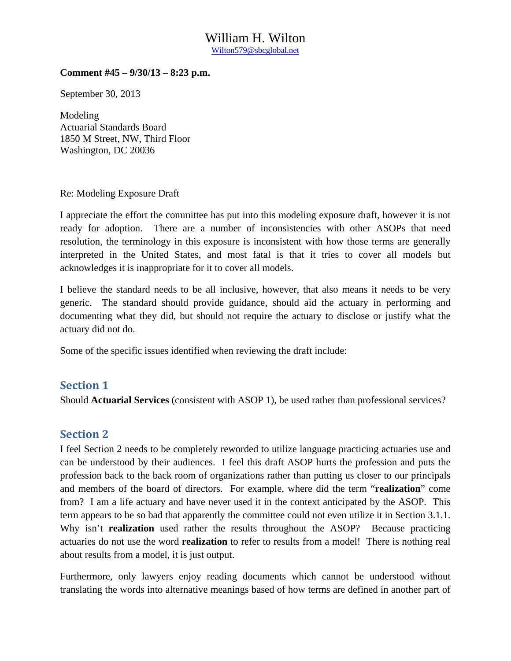### William H. Wilton Wilton579@sbcglobal.net

#### **Comment #45 – 9/30/13 – 8:23 p.m.**

September 30, 2013

Modeling Actuarial Standards Board 1850 M Street, NW, Third Floor Washington, DC 20036

Re: Modeling Exposure Draft

I appreciate the effort the committee has put into this modeling exposure draft, however it is not ready for adoption. There are a number of inconsistencies with other ASOPs that need resolution, the terminology in this exposure is inconsistent with how those terms are generally interpreted in the United States, and most fatal is that it tries to cover all models but acknowledges it is inappropriate for it to cover all models.

I believe the standard needs to be all inclusive, however, that also means it needs to be very generic. The standard should provide guidance, should aid the actuary in performing and documenting what they did, but should not require the actuary to disclose or justify what the actuary did not do.

Some of the specific issues identified when reviewing the draft include:

### **Section 1**

Should **Actuarial Services** (consistent with ASOP 1), be used rather than professional services?

### **Section 2**

I feel Section 2 needs to be completely reworded to utilize language practicing actuaries use and can be understood by their audiences. I feel this draft ASOP hurts the profession and puts the profession back to the back room of organizations rather than putting us closer to our principals and members of the board of directors. For example, where did the term "**realization**" come from? I am a life actuary and have never used it in the context anticipated by the ASOP. This term appears to be so bad that apparently the committee could not even utilize it in Section 3.1.1. Why isn't **realization** used rather the results throughout the ASOP? Because practicing actuaries do not use the word **realization** to refer to results from a model! There is nothing real about results from a model, it is just output.

Furthermore, only lawyers enjoy reading documents which cannot be understood without translating the words into alternative meanings based of how terms are defined in another part of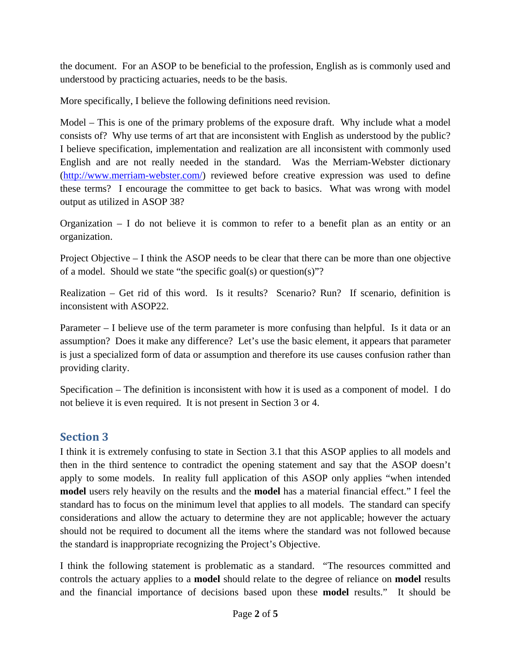the document. For an ASOP to be beneficial to the profession, English as is commonly used and understood by practicing actuaries, needs to be the basis.

More specifically, I believe the following definitions need revision.

Model – This is one of the primary problems of the exposure draft. Why include what a model consists of? Why use terms of art that are inconsistent with English as understood by the public? I believe specification, implementation and realization are all inconsistent with commonly used English and are not really needed in the standard. Was the Merriam-Webster dictionary (http://www.merriam-webster.com/) reviewed before creative expression was used to define these terms? I encourage the committee to get back to basics. What was wrong with model output as utilized in ASOP 38?

Organization – I do not believe it is common to refer to a benefit plan as an entity or an organization.

Project Objective – I think the ASOP needs to be clear that there can be more than one objective of a model. Should we state "the specific goal(s) or question(s)"?

Realization – Get rid of this word. Is it results? Scenario? Run? If scenario, definition is inconsistent with ASOP22.

Parameter – I believe use of the term parameter is more confusing than helpful. Is it data or an assumption? Does it make any difference? Let's use the basic element, it appears that parameter is just a specialized form of data or assumption and therefore its use causes confusion rather than providing clarity.

Specification – The definition is inconsistent with how it is used as a component of model. I do not believe it is even required. It is not present in Section 3 or 4.

# **Section 3**

I think it is extremely confusing to state in Section 3.1 that this ASOP applies to all models and then in the third sentence to contradict the opening statement and say that the ASOP doesn't apply to some models. In reality full application of this ASOP only applies "when intended **model** users rely heavily on the results and the **model** has a material financial effect." I feel the standard has to focus on the minimum level that applies to all models. The standard can specify considerations and allow the actuary to determine they are not applicable; however the actuary should not be required to document all the items where the standard was not followed because the standard is inappropriate recognizing the Project's Objective.

I think the following statement is problematic as a standard. "The resources committed and controls the actuary applies to a **model** should relate to the degree of reliance on **model** results and the financial importance of decisions based upon these **model** results." It should be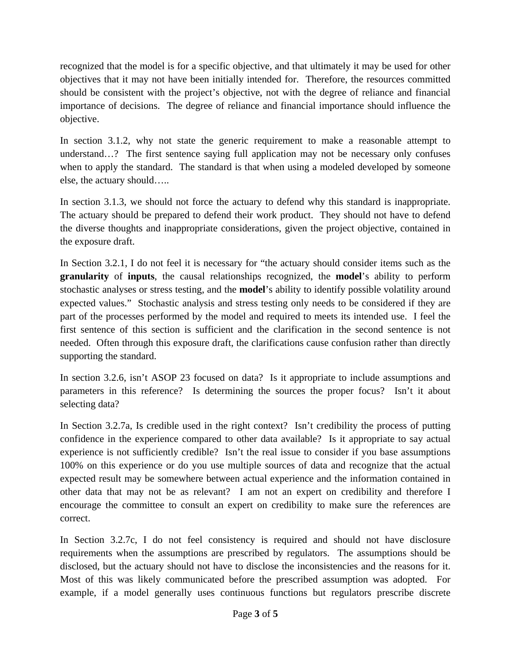recognized that the model is for a specific objective, and that ultimately it may be used for other objectives that it may not have been initially intended for. Therefore, the resources committed should be consistent with the project's objective, not with the degree of reliance and financial importance of decisions. The degree of reliance and financial importance should influence the objective.

In section 3.1.2, why not state the generic requirement to make a reasonable attempt to understand…? The first sentence saying full application may not be necessary only confuses when to apply the standard. The standard is that when using a modeled developed by someone else, the actuary should…..

In section 3.1.3, we should not force the actuary to defend why this standard is inappropriate. The actuary should be prepared to defend their work product. They should not have to defend the diverse thoughts and inappropriate considerations, given the project objective, contained in the exposure draft.

In Section 3.2.1, I do not feel it is necessary for "the actuary should consider items such as the **granularity** of **inputs**, the causal relationships recognized, the **model**'s ability to perform stochastic analyses or stress testing, and the **model**'s ability to identify possible volatility around expected values." Stochastic analysis and stress testing only needs to be considered if they are part of the processes performed by the model and required to meets its intended use. I feel the first sentence of this section is sufficient and the clarification in the second sentence is not needed. Often through this exposure draft, the clarifications cause confusion rather than directly supporting the standard.

In section 3.2.6, isn't ASOP 23 focused on data? Is it appropriate to include assumptions and parameters in this reference? Is determining the sources the proper focus? Isn't it about selecting data?

In Section 3.2.7a, Is credible used in the right context? Isn't credibility the process of putting confidence in the experience compared to other data available? Is it appropriate to say actual experience is not sufficiently credible? Isn't the real issue to consider if you base assumptions 100% on this experience or do you use multiple sources of data and recognize that the actual expected result may be somewhere between actual experience and the information contained in other data that may not be as relevant? I am not an expert on credibility and therefore I encourage the committee to consult an expert on credibility to make sure the references are correct.

In Section 3.2.7c, I do not feel consistency is required and should not have disclosure requirements when the assumptions are prescribed by regulators. The assumptions should be disclosed, but the actuary should not have to disclose the inconsistencies and the reasons for it. Most of this was likely communicated before the prescribed assumption was adopted. For example, if a model generally uses continuous functions but regulators prescribe discrete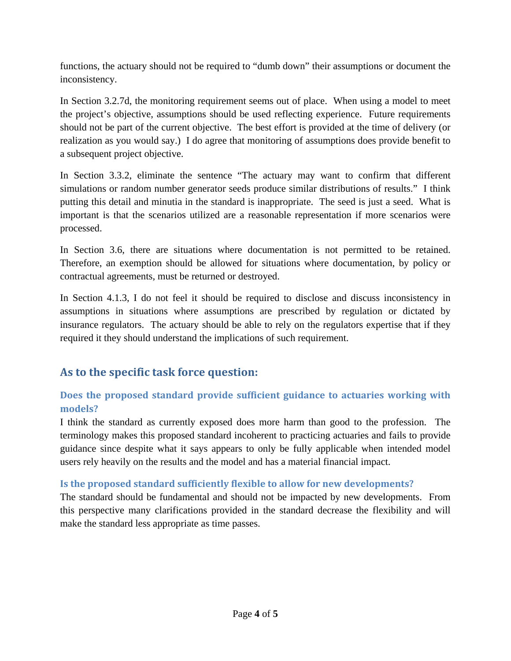functions, the actuary should not be required to "dumb down" their assumptions or document the inconsistency.

In Section 3.2.7d, the monitoring requirement seems out of place. When using a model to meet the project's objective, assumptions should be used reflecting experience. Future requirements should not be part of the current objective. The best effort is provided at the time of delivery (or realization as you would say.) I do agree that monitoring of assumptions does provide benefit to a subsequent project objective.

In Section 3.3.2, eliminate the sentence "The actuary may want to confirm that different simulations or random number generator seeds produce similar distributions of results." I think putting this detail and minutia in the standard is inappropriate. The seed is just a seed. What is important is that the scenarios utilized are a reasonable representation if more scenarios were processed.

In Section 3.6, there are situations where documentation is not permitted to be retained. Therefore, an exemption should be allowed for situations where documentation, by policy or contractual agreements, must be returned or destroyed.

In Section 4.1.3, I do not feel it should be required to disclose and discuss inconsistency in assumptions in situations where assumptions are prescribed by regulation or dictated by insurance regulators. The actuary should be able to rely on the regulators expertise that if they required it they should understand the implications of such requirement.

# **As to the specific task force question:**

### **Does the proposed standard provide sufficient guidance to actuaries working with models?**

I think the standard as currently exposed does more harm than good to the profession. The terminology makes this proposed standard incoherent to practicing actuaries and fails to provide guidance since despite what it says appears to only be fully applicable when intended model users rely heavily on the results and the model and has a material financial impact.

### **Is the proposed standard sufficiently flexible to allow for new developments?**

The standard should be fundamental and should not be impacted by new developments. From this perspective many clarifications provided in the standard decrease the flexibility and will make the standard less appropriate as time passes.